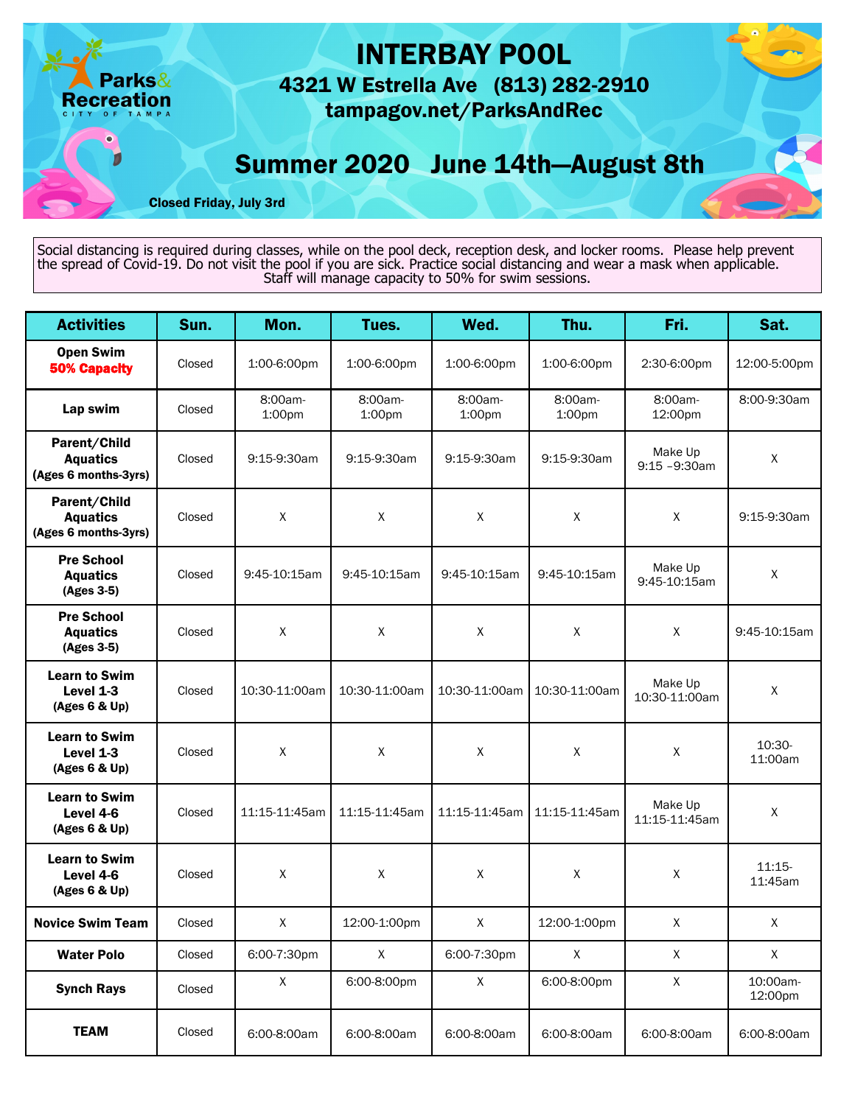

Social distancing is required during classes, while on the pool deck, reception desk, and locker rooms. Please help prevent the spread of Covid-19. Do not visit the pool if you are sick. Practice social distancing and wear a mask when applicable. Staff will manage capacity to 50% for swim sessions.

| <b>Activities</b>                                       | Sun.   | Mon.              | Tues.             | Wed.              | Thu.              | Fri.                        | Sat.                |
|---------------------------------------------------------|--------|-------------------|-------------------|-------------------|-------------------|-----------------------------|---------------------|
| <b>Open Swim</b><br><b>50% Capacity</b>                 | Closed | 1:00-6:00pm       | 1:00-6:00pm       | 1:00-6:00pm       | 1:00-6:00pm       | 2:30-6:00pm                 | 12:00-5:00pm        |
| Lap swim                                                | Closed | 8:00am-<br>1:00pm | 8:00am-<br>1:00pm | 8:00am-<br>1:00pm | 8:00am-<br>1:00pm | 8:00am-<br>12:00pm          | 8:00-9:30am         |
| Parent/Child<br><b>Aquatics</b><br>(Ages 6 months-3yrs) | Closed | 9:15-9:30am       | 9:15-9:30am       | 9:15-9:30am       | 9:15-9:30am       | Make Up<br>$9:15 - 9:30$ am | $\pmb{\times}$      |
| Parent/Child<br><b>Aquatics</b><br>(Ages 6 months-3yrs) | Closed | $\mathsf X$       | $\pmb{\chi}$      | $\sf X$           | X                 | X                           | 9:15-9:30am         |
| <b>Pre School</b><br><b>Aquatics</b><br>(Ages 3-5)      | Closed | 9:45-10:15am      | 9:45-10:15am      | 9:45-10:15am      | 9:45-10:15am      | Make Up<br>9:45-10:15am     | X                   |
| <b>Pre School</b><br><b>Aquatics</b><br>(Ages 3-5)      | Closed | X                 | X                 | X                 | X                 | X                           | 9:45-10:15am        |
| <b>Learn to Swim</b><br>Level 1-3<br>(Ages 6 & Up)      | Closed | 10:30-11:00am     | 10:30-11:00am     | 10:30-11:00am     | 10:30-11:00am     | Make Up<br>10:30-11:00am    | X                   |
| <b>Learn to Swim</b><br>Level 1-3<br>(Ages 6 & Up)      | Closed | X                 | $\mathsf{X}$      | $\sf X$           | $\sf X$           | X                           | 10:30-<br>11:00am   |
| <b>Learn to Swim</b><br>Level 4-6<br>(Ages 6 & Up)      | Closed | 11:15-11:45am     | 11:15-11:45am     | 11:15-11:45am     | 11:15-11:45am     | Make Up<br>11:15-11:45am    | X                   |
| <b>Learn to Swim</b><br>Level 4-6<br>(Ages 6 & Up)      | Closed | X                 | X                 | X                 | $\mathsf{X}$      | X                           | $11:15-$<br>11:45am |
| <b>Novice Swim Team</b>                                 | Closed | X                 | 12:00-1:00pm      | X                 | 12:00-1:00pm      | X                           | $\sf X$             |
| <b>Water Polo</b>                                       | Closed | 6:00-7:30pm       | $\mathsf{X}^-$    | 6:00-7:30pm       | X                 | X                           | $\pmb{\chi}$        |
| <b>Synch Rays</b>                                       | Closed | $\mathsf X$       | 6:00-8:00pm       | $\mathsf X$       | 6:00-8:00pm       | $\mathsf X$                 | 10:00am-<br>12:00pm |
| <b>TEAM</b>                                             | Closed | 6:00-8:00am       | 6:00-8:00am       | 6:00-8:00am       | 6:00-8:00am       | 6:00-8:00am                 | 6:00-8:00am         |